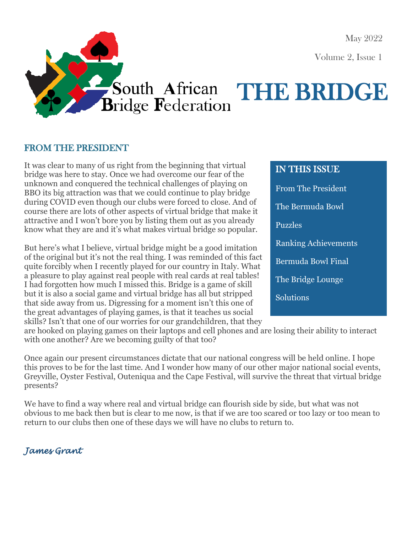May 2022

Volume 2, Issue 1

# 

## South African THE BRIDGE

#### FROM THE PRESIDENT

It was clear to many of us right from the beginning that virtual bridge was here to stay. Once we had overcome our fear of the unknown and conquered the technical challenges of playing on BBO its big attraction was that we could continue to play bridge during COVID even though our clubs were forced to close. And of course there are lots of other aspects of virtual bridge that make it attractive and I won't bore you by listing them out as you already know what they are and it's what makes virtual bridge so popular.

But here's what I believe, virtual bridge might be a good imitation of the original but it's not the real thing. I was reminded of this fact quite forcibly when I recently played for our country in Italy. What a pleasure to play against real people with real cards at real tables! I had forgotten how much I missed this. Bridge is a game of skill but it is also a social game and virtual bridge has all but stripped that side away from us. Digressing for a moment isn't this one of the great advantages of playing games, is that it teaches us social skills? Isn't that one of our worries for our grandchildren, that they

### IN THIS ISSUE From The President The Bermuda Bowl Puzzles Ranking Achievements Bermuda Bowl Final The Bridge Lounge **Solutions**

are hooked on playing games on their laptops and cell phones and are losing their ability to interact with one another? Are we becoming guilty of that too?

Once again our present circumstances dictate that our national congress will be held online. I hope this proves to be for the last time. And I wonder how many of our other major national social events, Greyville, Oyster Festival, Outeniqua and the Cape Festival, will survive the threat that virtual bridge presents?

We have to find a way where real and virtual bridge can flourish side by side, but what was not obvious to me back then but is clear to me now, is that if we are too scared or too lazy or too mean to return to our clubs then one of these days we will have no clubs to return to.

#### *James Grant*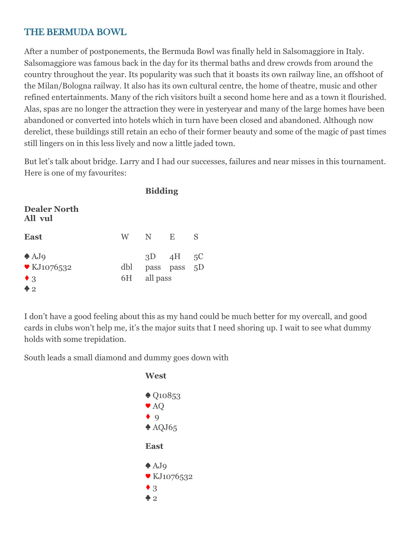#### THE BERMUDA BOWL

After a number of postponements, the Bermuda Bowl was finally held in Salsomaggiore in Italy. Salsomaggiore was famous back in the day for its thermal baths and drew crowds from around the country throughout the year. Its popularity was such that it boasts its own railway line, an offshoot of the Milan/Bologna railway. It also has its own cultural centre, the home of theatre, music and other refined entertainments. Many of the rich visitors built a second home here and as a town it flourished. Alas, spas are no longer the attraction they were in yesteryear and many of the large homes have been abandoned or converted into hotels which in turn have been closed and abandoned. Although now derelict, these buildings still retain an echo of their former beauty and some of the magic of past times still lingers on in this less lively and now a little jaded town.

But let's talk about bridge. Larry and I had our successes, failures and near misses in this tournament. Here is one of my favourites:

|                                                                                   | <b>Bidding</b>                                                                                                                                                                                                                 |                           |              |    |
|-----------------------------------------------------------------------------------|--------------------------------------------------------------------------------------------------------------------------------------------------------------------------------------------------------------------------------|---------------------------|--------------|----|
| <b>Dealer North</b><br>All vul                                                    |                                                                                                                                                                                                                                |                           |              |    |
| <b>East</b>                                                                       | W and the set of the set of the set of the set of the set of the set of the set of the set of the set of the set of the set of the set of the set of the set of the set of the set of the set of the set of the set of the set | N                         | E            | S  |
| $\triangle$ AJ9<br>$\blacktriangledown$ KJ1076532<br>$\bullet$ 3<br>$\clubsuit$ 2 | dbl<br>6H                                                                                                                                                                                                                      | $3D \quad 4H$<br>all pass | pass pass 5D | 5C |

I don't have a good feeling about this as my hand could be much better for my overcall, and good cards in clubs won't help me, it's the major suits that I need shoring up. I wait to see what dummy holds with some trepidation.

South leads a small diamond and dummy goes down with

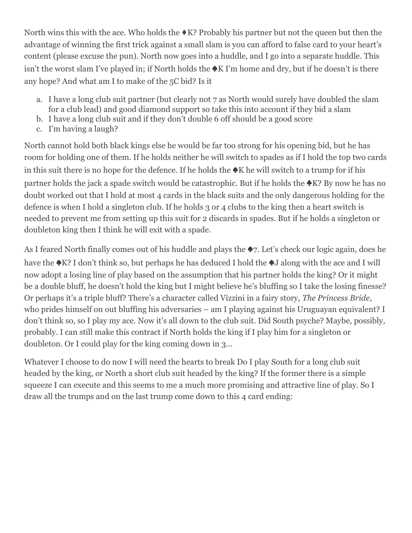North wins this with the ace. Who holds the  $\triangle$ K? Probably his partner but not the queen but then the advantage of winning the first trick against a small slam is you can afford to false card to your heart's content (please excuse the pun). North now goes into a huddle, and I go into a separate huddle. This isn't the worst slam I've played in; if North holds the ♠K I'm home and dry, but if he doesn't is there any hope? And what am I to make of the 5C bid? Is it

- a. I have a long club suit partner (but clearly not 7 as North would surely have doubled the slam for a club lead) and good diamond support so take this into account if they bid a slam
- b. I have a long club suit and if they don't double 6 off should be a good score
- c. I'm having a laugh?

North cannot hold both black kings else he would be far too strong for his opening bid, but he has room for holding one of them. If he holds neither he will switch to spades as if I hold the top two cards in this suit there is no hope for the defence. If he holds the ♠K he will switch to a trump for if his partner holds the jack a spade switch would be catastrophic. But if he holds the ♦K? By now he has no doubt worked out that I hold at most 4 cards in the black suits and the only dangerous holding for the defence is when I hold a singleton club. If he holds 3 or 4 clubs to the king then a heart switch is needed to prevent me from setting up this suit for 2 discards in spades. But if he holds a singleton or doubleton king then I think he will exit with a spade.

As I feared North finally comes out of his huddle and plays the ♠7. Let's check our logic again, does he have the ♠K? I don't think so, but perhaps he has deduced I hold the ♠J along with the ace and I will now adopt a losing line of play based on the assumption that his partner holds the king? Or it might be a double bluff, he doesn't hold the king but I might believe he's bluffing so I take the losing finesse? Or perhaps it's a triple bluff? There's a character called Vizzini in a fairy story, *The Princess Bride*, who prides himself on out bluffing his adversaries – am I playing against his Uruguayan equivalent? I don't think so, so I play my ace. Now it's all down to the club suit. Did South psyche? Maybe, possibly, probably. I can still make this contract if North holds the king if I play him for a singleton or doubleton. Or I could play for the king coming down in 3…

Whatever I choose to do now I will need the hearts to break Do I play South for a long club suit headed by the king, or North a short club suit headed by the king? If the former there is a simple squeeze I can execute and this seems to me a much more promising and attractive line of play. So I draw all the trumps and on the last trump come down to this 4 card ending: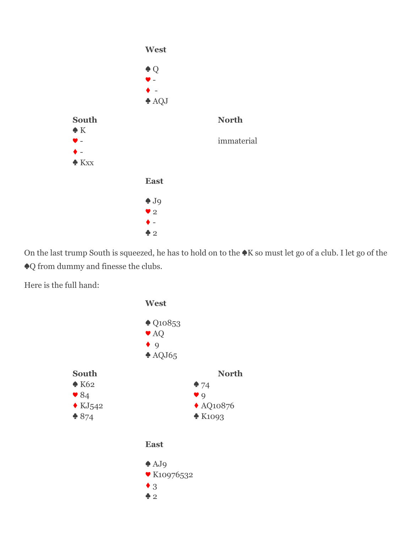

On the last trump South is squeezed, he has to hold on to the ♠K so must let go of a club. I let go of the ♠Q from dummy and finesse the clubs.

Here is the full hand:

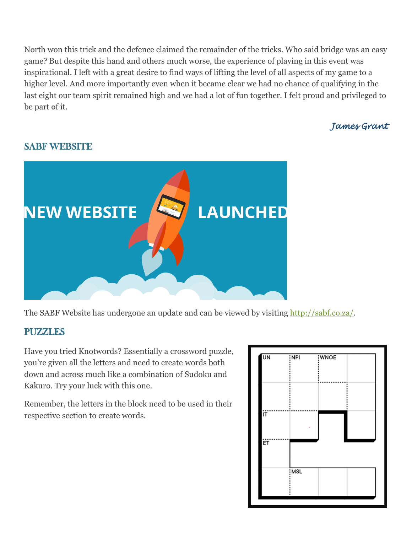North won this trick and the defence claimed the remainder of the tricks. Who said bridge was an easy game? But despite this hand and others much worse, the experience of playing in this event was inspirational. I left with a great desire to find ways of lifting the level of all aspects of my game to a higher level. And more importantly even when it became clear we had no chance of qualifying in the last eight our team spirit remained high and we had a lot of fun together. I felt proud and privileged to be part of it.

#### *James Grant*

#### SABF WEBSITE



The SABF Website has undergone an update and can be viewed by visiting [http://sabf.co.za/.](http://sabf.co.za/)

#### **PUZZLES**

Have you tried Knotwords? Essentially a crossword puzzle, you're given all the letters and need to create words both down and across much like a combination of Sudoku and Kakuro. Try your luck with this one.

Remember, the letters in the block need to be used in their respective section to create words.

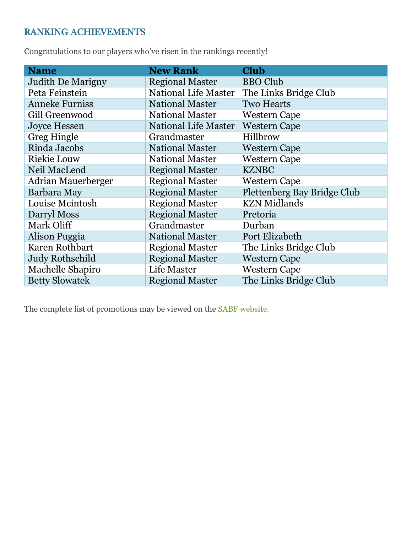#### RANKING ACHIEVEMENTS

Congratulations to our players who've risen in the rankings recently!

| <b>Name</b>               | <b>New Rank</b>             | <b>Club</b>                 |
|---------------------------|-----------------------------|-----------------------------|
| <b>Judith De Marigny</b>  | <b>Regional Master</b>      | <b>BBO Club</b>             |
| Peta Feinstein            | <b>National Life Master</b> | The Links Bridge Club       |
| <b>Anneke Furniss</b>     | <b>National Master</b>      | <b>Two Hearts</b>           |
| Gill Greenwood            | <b>National Master</b>      | <b>Western Cape</b>         |
| <b>Joyce Hessen</b>       | <b>National Life Master</b> | <b>Western Cape</b>         |
| <b>Greg Hingle</b>        | Grandmaster                 | Hillbrow                    |
| Rinda Jacobs              | <b>National Master</b>      | <b>Western Cape</b>         |
| <b>Riekie Louw</b>        | <b>National Master</b>      | <b>Western Cape</b>         |
| Neil MacLeod              | <b>Regional Master</b>      | <b>KZNBC</b>                |
| <b>Adrian Mauerberger</b> | <b>Regional Master</b>      | <b>Western Cape</b>         |
| Barbara May               | <b>Regional Master</b>      | Plettenberg Bay Bridge Club |
| Louise Mcintosh           | <b>Regional Master</b>      | <b>KZN</b> Midlands         |
| Darryl Moss               | <b>Regional Master</b>      | Pretoria                    |
| Mark Oliff                | Grandmaster                 | Durban                      |
| Alison Puggia             | <b>National Master</b>      | Port Elizabeth              |
| Karen Rothbart            | <b>Regional Master</b>      | The Links Bridge Club       |
| <b>Judy Rothschild</b>    | <b>Regional Master</b>      | <b>Western Cape</b>         |
| Machelle Shapiro          | <b>Life Master</b>          | <b>Western Cape</b>         |
| <b>Betty Slowatek</b>     | <b>Regional Master</b>      | The Links Bridge Club       |

The complete list of promotions may be viewed on the [SABF website.](file:///C:/Users/user%20pc/Desktop/Freelancing%20Assignments/Admin/The%20Links/sabf.co.za)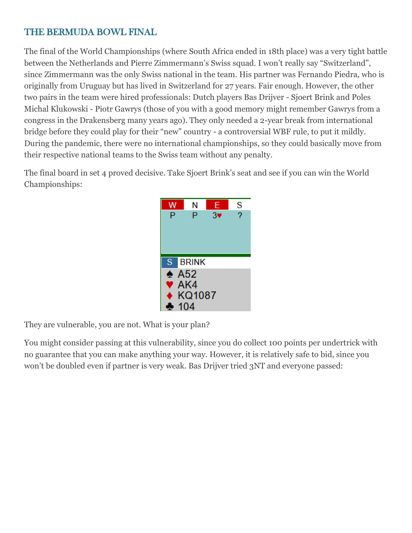#### THE BERMUDA BOWL FINAL

The final of the World Championships (where South Africa ended in 18th place) was a very tight battle between the Netherlands and Pierre Zimmermann's Swiss squad. I won't really say "Switzerland", since Zimmermann was the only Swiss national in the team. His partner was Fernando Piedra, who is originally from Uruguay but has lived in Switzerland for 27 years. Fair enough. However, the other two pairs in the team were hired professionals: Dutch players Bas Drijver - Sjoert Brink and Poles Michal Klukowski - Piotr Gawrys (those of you with a good memory might remember Gawrys from a congress in the Drakensberg many years ago). They only needed a 2-year break from international bridge before they could play for their "new" country - a controversial WBF rule, to put it mildly. During the pandemic, there were no international championships, so they could basically move from their respective national teams to the Swiss team without any penalty.

The final board in set 4 proved decisive. Take Sjoert Brink's seat and see if you can win the World Championships:



They are vulnerable, you are not. What is your plan?

You might consider passing at this vulnerability, since you do collect 100 points per undertrick with no guarantee that you can make anything your way. However, it is relatively safe to bid, since you won't be doubled even if partner is very weak. Bas Drijver tried 3NT and everyone passed: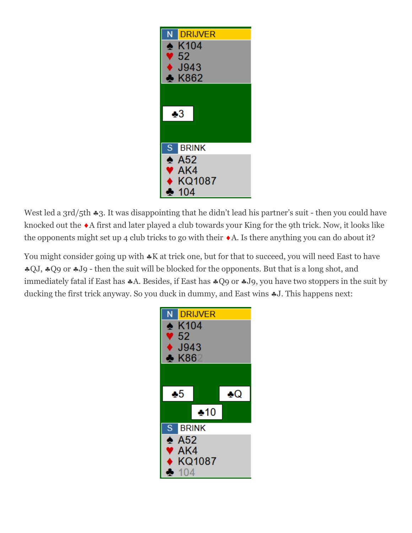

West led a  $3rd/5th$   $*3$ . It was disappointing that he didn't lead his partner's suit - then you could have knocked out the  $\triangle$ A first and later played a club towards your King for the 9th trick. Now, it looks like the opponents might set up 4 club tricks to go with their  $\triangle$ A. Is there anything you can do about it?

You might consider going up with  $\ast$ K at trick one, but for that to succeed, you will need East to have \*QJ, \*Q9 or \*J9 - then the suit will be blocked for the opponents. But that is a long shot, and immediately fatal if East has  $*A$ . Besides, if East has  $*Q9$  or  $*J9$ , you have two stoppers in the suit by ducking the first trick anyway. So you duck in dummy, and East wins  $\clubsuit$ J. This happens next:

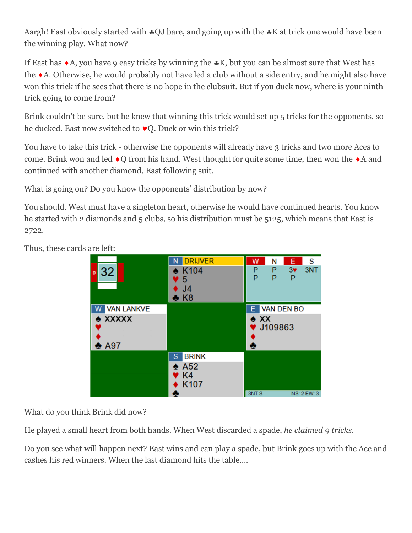Aargh! East obviously started with  $\triangle QJ$  bare, and going up with the  $\triangle K$  at trick one would have been the winning play. What now?

If East has  $\triangle$ A, you have 9 easy tricks by winning the  $\triangle$ K, but you can be almost sure that West has the A. Otherwise, he would probably not have led a club without a side entry, and he might also have won this trick if he sees that there is no hope in the clubsuit. But if you duck now, where is your ninth trick going to come from?

Brink couldn't be sure, but he knew that winning this trick would set up 5 tricks for the opponents, so he ducked. East now switched to  $\vee$ Q. Duck or win this trick?

You have to take this trick - otherwise the opponents will already have 3 tricks and two more Aces to come. Brink won and led  $\triangle Q$  from his hand. West thought for quite some time, then won the  $\triangle A$  and continued with another diamond, East following suit.

What is going on? Do you know the opponents' distribution by now?

You should. West must have a singleton heart, otherwise he would have continued hearts. You know he started with 2 diamonds and 5 clubs, so his distribution must be 5125, which means that East is 2722.

Thus, these cards are left:

| 32<br>D                                                   | <b>DRIJVER</b><br>N<br>$\triangle$ K104<br>5<br>J <sub>4</sub><br>$\bullet$ K8            | W<br>P<br>P          | Ν<br>P<br>P                         | E.<br>$3*$<br>P | s<br>3NT           |
|-----------------------------------------------------------|-------------------------------------------------------------------------------------------|----------------------|-------------------------------------|-----------------|--------------------|
| <b>VAN LANKVE</b><br>$\triangle$ XXXXX<br>$\clubsuit$ A97 |                                                                                           | Е.<br>$\triangle$ XX | <b>VAN DEN BO</b><br><b>J109863</b> |                 |                    |
|                                                           | <b>BRINK</b><br>S<br>$\spadesuit$ A52<br>$\blacktriangledown$ K4<br>K <sub>107</sub><br>æ | 3NT <sub>S</sub>     |                                     |                 | <b>NS: 2 EW: 3</b> |

What do you think Brink did now?

He played a small heart from both hands. When West discarded a spade, *he claimed 9 tricks.*

Do you see what will happen next? East wins and can play a spade, but Brink goes up with the Ace and cashes his red winners. When the last diamond hits the table….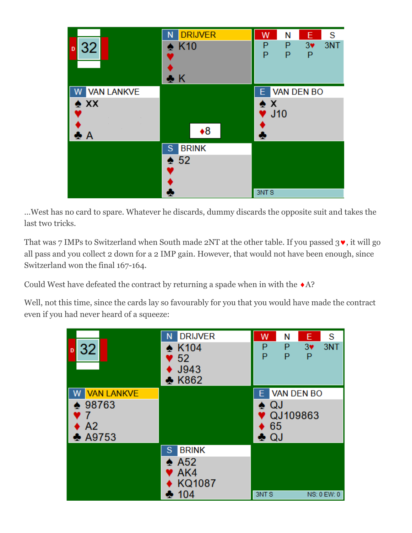| 32<br>$\mathbf{D}$                         | <b>DRIJVER</b><br>N<br>$\triangle$ K <sub>10</sub><br>♣К | W<br>P<br>P                                     | N<br>P<br>P | E<br>$3*$<br>P | S<br>3NT |
|--------------------------------------------|----------------------------------------------------------|-------------------------------------------------|-------------|----------------|----------|
| <b>VAN LANKVE</b><br>$\triangle$ XX<br>А ی | $*8$                                                     | $\triangle$ X<br>$\blacktriangledown$ J10<br>ķ. |             | E VAN DEN BO   |          |
|                                            | <b>BRINK</b><br>S<br>$\triangle$ 52                      | 3NT <sub>S</sub>                                |             |                |          |

…West has no card to spare. Whatever he discards, dummy discards the opposite suit and takes the last two tricks.

That was 7 IMPs to Switzerland when South made 2NT at the other table. If you passed  $3\bullet$ , it will go all pass and you collect 2 down for a 2 IMP gain. However, that would not have been enough, since Switzerland won the final 167-164.

Could West have defeated the contract by returning a spade when in with the  $\triangle$ A?

Well, not this time, since the cards lay so favourably for you that you would have made the contract even if you had never heard of a squeeze:

|                                                                   | <b>DRIJVER</b><br>N                                                   | W<br>S<br>E<br>N                                             |
|-------------------------------------------------------------------|-----------------------------------------------------------------------|--------------------------------------------------------------|
| 32<br>D                                                           | $\triangle$ K104<br>52<br>J943<br>$\triangle$ K862                    | 3NT<br>P<br>P<br>$3*$<br>P<br>Р<br>P                         |
| <b>VAN LANKVE</b><br>98763<br>A <sub>2</sub><br>$\clubsuit$ A9753 |                                                                       | <b>VAN DEN BO</b><br>Е.<br>QJ<br>۰<br>QJ109863<br>65<br>♣ QJ |
|                                                                   | <b>BRINK</b><br>S<br>$\triangle$ A52<br>AK4<br><b>KQ1087</b><br>♣ 104 | <b>3NTS</b><br>NS: 0 EW: 0                                   |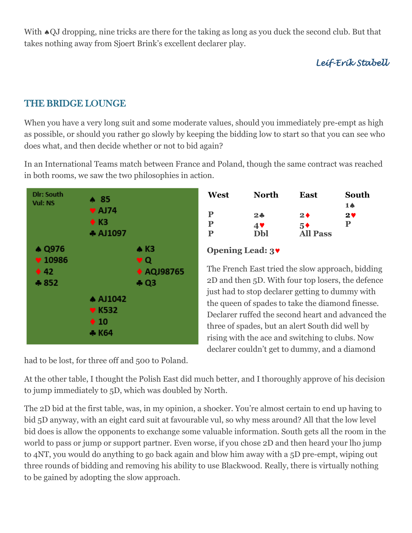With  $\triangle$ QJ dropping, nine tricks are there for the taking as long as you duck the second club. But that takes nothing away from Sjoert Brink's excellent declarer play.

*Leif-Erik Stabell*

#### THE BRIDGE LOUNGE

When you have a very long suit and some moderate values, should you immediately pre-empt as high as possible, or should you rather go slowly by keeping the bidding low to start so that you can see who does what, and then decide whether or not to bid again?

In an International Teams match between France and Poland, though the same contract was reached in both rooms, we saw the two philosophies in action.



had to be lost, for three off and 500 to Poland.

| North | East            | South |
|-------|-----------------|-------|
|       |                 | 18    |
| $2 -$ | 2 <sub>0</sub>  | $2$ V |
|       | $5*$            | Р     |
| Dbl   | <b>All Pass</b> |       |
|       | 4♥              |       |

#### **Opening Lead: 3**

The French East tried the slow approach, bidding 2D and then 5D. With four top losers, the defence just had to stop declarer getting to dummy with the queen of spades to take the diamond finesse. Declarer ruffed the second heart and advanced the three of spades, but an alert South did well by rising with the ace and switching to clubs. Now declarer couldn't get to dummy, and a diamond

At the other table, I thought the Polish East did much better, and I thoroughly approve of his decision to jump immediately to 5D, which was doubled by North.

The 2D bid at the first table, was, in my opinion, a shocker. You're almost certain to end up having to bid 5D anyway, with an eight card suit at favourable vul, so why mess around? All that the low level bid does is allow the opponents to exchange some valuable information. South gets all the room in the world to pass or jump or support partner. Even worse, if you chose 2D and then heard your lho jump to 4NT, you would do anything to go back again and blow him away with a 5D pre-empt, wiping out three rounds of bidding and removing his ability to use Blackwood. Really, there is virtually nothing to be gained by adopting the slow approach.